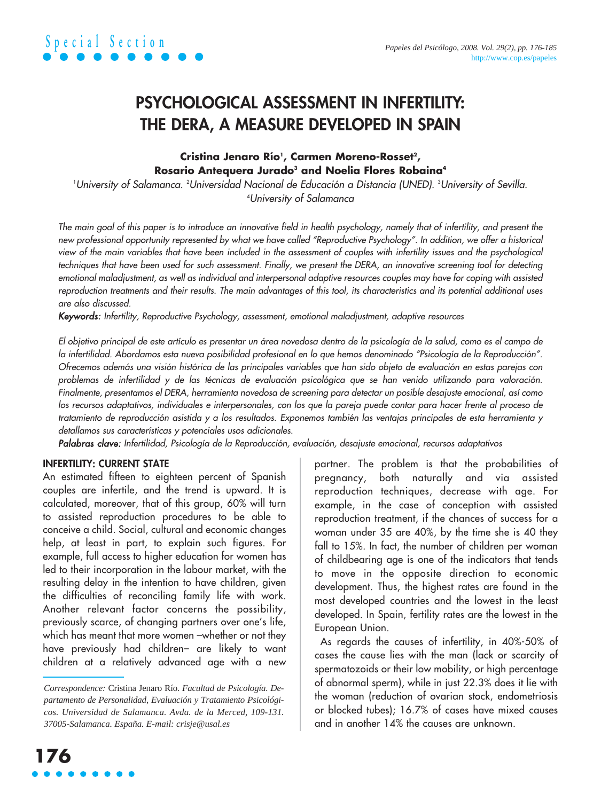### **PSYCHOLOGICAL ASSESSMENT IN INFERTILITY: THE DERA, A MEASURE DEVELOPED IN SPAIN**

#### Cristina Jenaro Río<sup>ı</sup>, Carmen Moreno-Rosset<sup>2</sup>, **Rosario Antequera Jurado<sup>3</sup> and Noelia Flores Robaina<sup>4</sup>**

University of Salamanca. <sup>2</sup>Universidad Nacional de Educación a Distancia (UNED). <sup>3</sup>University of Sevilla. 4 University of Salamanca

The main goal of this paper is to introduce an innovative field in health psychology, namely that of infertility, and present the new professional opportunity represented by what we have called "Reproductive Psychology". In addition, we offer a historical view of the main variables that have been included in the assessment of couples with infertility issues and the psychological techniques that have been used for such assessment. Finally, we present the DERA, an innovative screening tool for detecting emotional maladjustment, as well as individual and interpersonal adaptive resources couples may have for coping with assisted reproduction treatments and their results. The main advantages of this tool, its characteristics and its potential additional uses are also discussed.

Keywords: Infertility, Reproductive Psychology, assessment, emotional maladjustment, adaptive resources

El objetivo principal de este artículo es presentar un área novedosa dentro de la psicología de la salud, como es el campo de la infertilidad. Abordamos esta nueva posibilidad profesional en lo que hemos denominado "Psicología de la Reproducción". Ofrecemos además una visión histórica de las principales variables que han sido objeto de evaluación en estas parejas con problemas de infertilidad y de las técnicas de evaluación psicológica que se han venido utilizando para valoración. Finalmente, presentamos el DERA, herramienta novedosa de screening para detectar un posible desajuste emocional, así como los recursos adaptativos, individuales e interpersonales, con los que la pareja puede contar para hacer frente al proceso de tratamiento de reproducción asistida y a los resultados. Exponemos también las ventajas principales de esta herramienta y detallamos sus características y potenciales usos adicionales.

Palabras clave: Infertilidad, Psicología de la Reproducción, evaluación, desajuste emocional, recursos adaptativos

#### **INFERTILITY: CURRENT STATE**

An estimated fifteen to eighteen percent of Spanish couples are infertile, and the trend is upward. It is calculated, moreover, that of this group, 60% will turn to assisted reproduction procedures to be able to conceive a child. Social, cultural and economic changes help, at least in part, to explain such figures. For example, full access to higher education for women has led to their incorporation in the labour market, with the resulting delay in the intention to have children, given the difficulties of reconciling family life with work. Another relevant factor concerns the possibility, previously scarce, of changing partners over one's life, which has meant that more women –whether or not they have previously had children– are likely to want children at a relatively advanced age with a new

partner. The problem is that the probabilities of pregnancy, both naturally and via assisted reproduction techniques, decrease with age. For example, in the case of conception with assisted reproduction treatment, if the chances of success for a woman under 35 are 40%, by the time she is 40 they fall to 15%. In fact, the number of children per woman of childbearing age is one of the indicators that tends to move in the opposite direction to economic development. Thus, the highest rates are found in the most developed countries and the lowest in the least developed. In Spain, fertility rates are the lowest in the European Union.

As regards the causes of infertility, in 40%-50% of cases the cause lies with the man (lack or scarcity of spermatozoids or their low mobility, or high percentage of abnormal sperm), while in just 22.3% does it lie with the woman (reduction of ovarian stock, endometriosis or blocked tubes); 16.7% of cases have mixed causes and in another 14% the causes are unknown.

*Correspondence:* Cristina Jenaro Río. *Facultad de Psicología. Departamento de Personalidad, Evaluación y Tratamiento Psicológicos. Universidad de Salamanca. Avda. de la Merced, 109-131. 37005-Salamanca. España. E-mail: crisje@usal.es*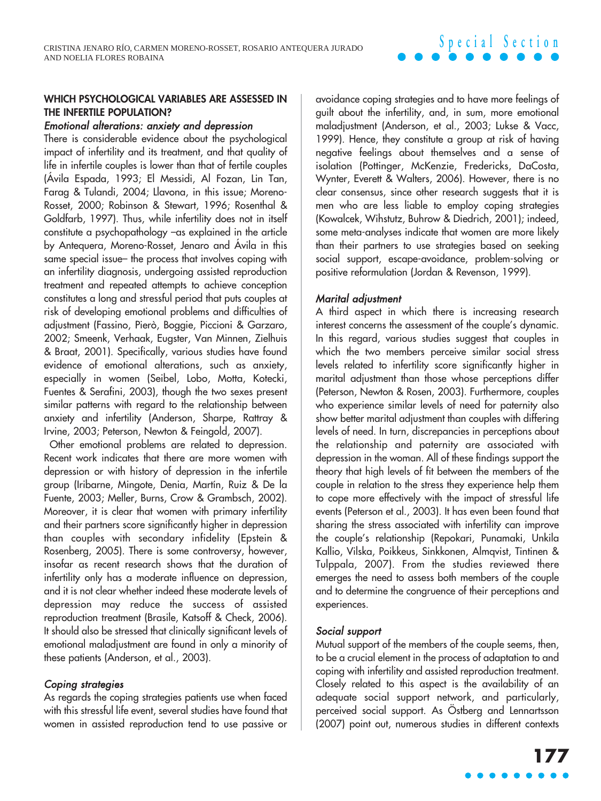#### **WHICH PSYCHOLOGICAL VARIABLES ARE ASSESSED IN THE INFERTILE POPULATION?**

#### Emotional alterations: anxiety and depression

There is considerable evidence about the psychological impact of infertility and its treatment, and that quality of life in infertile couples is lower than that of fertile couples (Ávila Espada, 1993; El Messidi, Al Fozan, Lin Tan, Farag & Tulandi, 2004; Llavona, in this issue; Moreno-Rosset, 2000; Robinson & Stewart, 1996; Rosenthal & Goldfarb, 1997). Thus, while infertility does not in itself constitute a psychopathology -as explained in the article by Antequera, Moreno-Rosset, Jenaro and Ávila in this same special issue– the process that involves coping with an infertility diagnosis, undergoing assisted reproduction treatment and repeated attempts to achieve conception constitutes a long and stressful period that puts couples at risk of developing emotional problems and difficulties of adjustment (Fassino, Pierò, Boggie, Piccioni & Garzaro, 2002; Smeenk, Verhaak, Eugster, Van Minnen, Zielhuis & Braat, 2001). Specifically, various studies have found evidence of emotional alterations, such as anxiety, especially in women (Seibel, Lobo, Motta, Kotecki, Fuentes & Serafini, 2003), though the two sexes present similar patterns with regard to the relationship between anxiety and infertility (Anderson, Sharpe, Rattray & Irvine, 2003; Peterson, Newton & Feingold, 2007).

Other emotional problems are related to depression. Recent work indicates that there are more women with depression or with history of depression in the infertile group (Iribarne, Mingote, Denia, Martín, Ruiz & De la Fuente, 2003; Meller, Burns, Crow & Grambsch, 2002). Moreover, it is clear that women with primary infertility and their partners score significantly higher in depression than couples with secondary infidelity (Epstein & Rosenberg, 2005). There is some controversy, however, insofar as recent research shows that the duration of infertility only has a moderate influence on depression, and it is not clear whether indeed these moderate levels of depression may reduce the success of assisted reproduction treatment (Brasile, Katsoff & Check, 2006). It should also be stressed that clinically significant levels of emotional maladjustment are found in only a minority of these patients (Anderson, et al., 2003).

#### Coping strategies

As regards the coping strategies patients use when faced with this stressful life event, several studies have found that women in assisted reproduction tend to use passive or

avoidance coping strategies and to have more feelings of guilt about the infertility, and, in sum, more emotional maladjustment (Anderson, et al., 2003; Lukse & Vacc, 1999). Hence, they constitute a group at risk of having negative feelings about themselves and a sense of isolation (Pottinger, McKenzie, Fredericks, DaCosta, Wynter, Everett & Walters, 2006). However, there is no clear consensus, since other research suggests that it is men who are less liable to employ coping strategies (Kowalcek, Wihstutz, Buhrow & Diedrich, 2001); indeed, some meta-analyses indicate that women are more likely than their partners to use strategies based on seeking social support, escape-avoidance, problem-solving or positive reformulation (Jordan & Revenson, 1999).

**Special Section**

#### Marital adjustment

A third aspect in which there is increasing research interest concerns the assessment of the couple's dynamic. In this regard, various studies suggest that couples in which the two members perceive similar social stress levels related to infertility score significantly higher in marital adjustment than those whose perceptions differ (Peterson, Newton & Rosen, 2003). Furthermore, couples who experience similar levels of need for paternity also show better marital adjustment than couples with differing levels of need. In turn, discrepancies in perceptions about the relationship and paternity are associated with depression in the woman. All of these findings support the theory that high levels of fit between the members of the couple in relation to the stress they experience help them to cope more effectively with the impact of stressful life events (Peterson et al., 2003). It has even been found that sharing the stress associated with infertility can improve the couple's relationship (Repokari, Punamaki, Unkila Kallio, Vilska, Poikkeus, Sinkkonen, Almqvist, Tintinen & Tulppala, 2007). From the studies reviewed there emerges the need to assess both members of the couple and to determine the congruence of their perceptions and experiences.

#### Social support

Mutual support of the members of the couple seems, then, to be a crucial element in the process of adaptation to and coping with infertility and assisted reproduction treatment. Closely related to this aspect is the availability of an adequate social support network, and particularly, perceived social support. As Östberg and Lennartsson (2007) point out, numerous studies in different contexts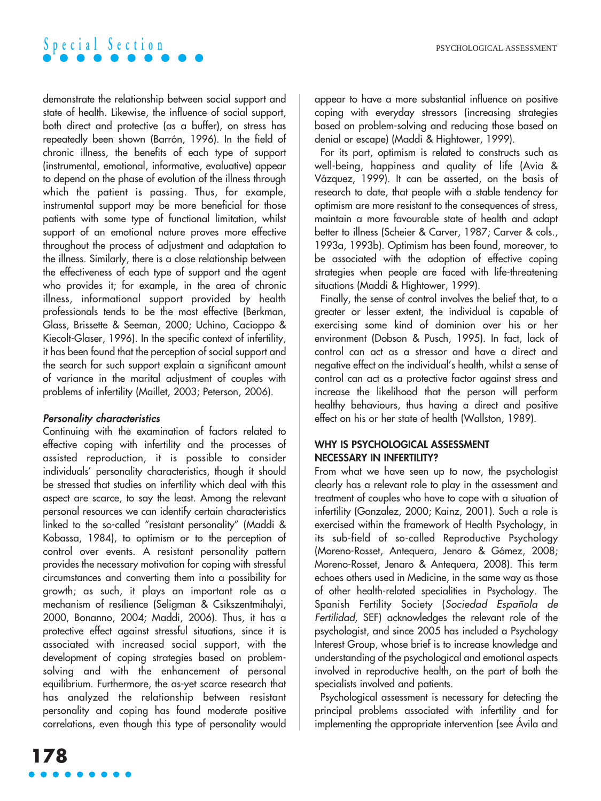demonstrate the relationship between social support and state of health. Likewise, the influence of social support, both direct and protective (as a buffer), on stress has repeatedly been shown (Barrón, 1996). In the field of chronic illness, the benefits of each type of support (instrumental, emotional, informative, evaluative) appear to depend on the phase of evolution of the illness through which the patient is passing. Thus, for example, instrumental support may be more beneficial for those patients with some type of functional limitation, whilst support of an emotional nature proves more effective throughout the process of adjustment and adaptation to the illness. Similarly, there is a close relationship between the effectiveness of each type of support and the agent who provides it; for example, in the area of chronic illness, informational support provided by health professionals tends to be the most effective (Berkman, Glass, Brissette & Seeman, 2000; Uchino, Cacioppo & Kiecolt-Glaser, 1996). In the specific context of infertility, it has been found that the perception of social support and the search for such support explain a significant amount of variance in the marital adjustment of couples with problems of infertility (Maillet, 2003; Peterson, 2006).

#### Personality characteristics

Continuing with the examination of factors related to effective coping with infertility and the processes of assisted reproduction, it is possible to consider individuals' personality characteristics, though it should be stressed that studies on infertility which deal with this aspect are scarce, to say the least. Among the relevant personal resources we can identify certain characteristics linked to the so-called "resistant personality" (Maddi & Kobassa, 1984), to optimism or to the perception of control over events. A resistant personality pattern provides the necessary motivation for coping with stressful circumstances and converting them into a possibility for growth; as such, it plays an important role as a mechanism of resilience (Seligman & Csikszentmihalyi, 2000, Bonanno, 2004; Maddi, 2006). Thus, it has a protective effect against stressful situations, since it is associated with increased social support, with the development of coping strategies based on problemsolving and with the enhancement of personal equilibrium. Furthermore, the as-yet scarce research that has analyzed the relationship between resistant personality and coping has found moderate positive correlations, even though this type of personality would appear to have a more substantial influence on positive coping with everyday stressors (increasing strategies based on problem-solving and reducing those based on denial or escape) (Maddi & Hightower, 1999).

For its part, optimism is related to constructs such as well-being, happiness and quality of life (Avia & Vázquez, 1999). It can be asserted, on the basis of research to date, that people with a stable tendency for optimism are more resistant to the consequences of stress, maintain a more favourable state of health and adapt better to illness (Scheier & Carver, 1987; Carver & cols., 1993a, 1993b). Optimism has been found, moreover, to be associated with the adoption of effective coping strategies when people are faced with life-threatening situations (Maddi & Hightower, 1999).

Finally, the sense of control involves the belief that, to a greater or lesser extent, the individual is capable of exercising some kind of dominion over his or her environment (Dobson & Pusch, 1995). In fact, lack of control can act as a stressor and have a direct and negative effect on the individual's health, whilst a sense of control can act as a protective factor against stress and increase the likelihood that the person will perform healthy behaviours, thus having a direct and positive effect on his or her state of health (Wallston, 1989).

#### **WHY IS PSYCHOLOGICAL ASSESSMENT NECESSARY IN INFERTILITY?**

From what we have seen up to now, the psychologist clearly has a relevant role to play in the assessment and treatment of couples who have to cope with a situation of infertility (Gonzalez, 2000; Kainz, 2001). Such a role is exercised within the framework of Health Psychology, in its sub-field of so-called Reproductive Psychology (Moreno-Rosset, Antequera, Jenaro & Gómez, 2008; Moreno-Rosset, Jenaro & Antequera, 2008). This term echoes others used in Medicine, in the same way as those of other health-related specialities in Psychology. The Spanish Fertility Society (Sociedad Española de Fertilidad, SEF) acknowledges the relevant role of the psychologist, and since 2005 has included a Psychology Interest Group, whose brief is to increase knowledge and understanding of the psychological and emotional aspects involved in reproductive health, on the part of both the specialists involved and patients.

Psychological assessment is necessary for detecting the principal problems associated with infertility and for implementing the appropriate intervention (see Ávila and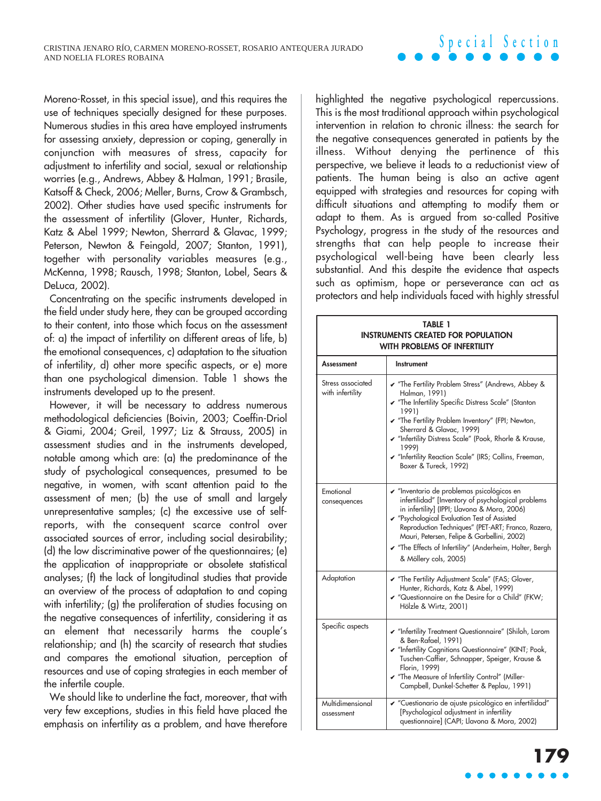#### Moreno-Rosset, in this special issue), and this requires the use of techniques specially designed for these purposes. Numerous studies in this area have employed instruments for assessing anxiety, depression or coping, generally in conjunction with measures of stress, capacity for adjustment to infertility and social, sexual or relationship worries (e.g., Andrews, Abbey & Halman, 1991; Brasile, Katsoff & Check, 2006; Meller, Burns, Crow & Grambsch, 2002). Other studies have used specific instruments for the assessment of infertility (Glover, Hunter, Richards, Katz & Abel 1999; Newton, Sherrard & Glavac, 1999; Peterson, Newton & Feingold, 2007; Stanton, 1991), together with personality variables measures (e.g., McKenna, 1998; Rausch, 1998; Stanton, Lobel, Sears & DeLuca, 2002).

Concentrating on the specific instruments developed in the field under study here, they can be grouped according to their content, into those which focus on the assessment of: a) the impact of infertility on different areas of life, b) the emotional consequences, c) adaptation to the situation of infertility, d) other more specific aspects, or e) more than one psychological dimension. Table 1 shows the instruments developed up to the present.

However, it will be necessary to address numerous methodological deficiencies (Boivin, 2003; Coeffin-Driol & Giami, 2004; Greil, 1997; Liz & Strauss, 2005) in assessment studies and in the instruments developed, notable among which are: (a) the predominance of the study of psychological consequences, presumed to be negative, in women, with scant attention paid to the assessment of men; (b) the use of small and largely unrepresentative samples; (c) the excessive use of selfreports, with the consequent scarce control over associated sources of error, including social desirability; (d) the low discriminative power of the questionnaires; (e) the application of inappropriate or obsolete statistical analyses; (f) the lack of longitudinal studies that provide an overview of the process of adaptation to and coping with infertility; (g) the proliferation of studies focusing on the negative consequences of infertility, considering it as an element that necessarily harms the couple's relationship; and (h) the scarcity of research that studies and compares the emotional situation, perception of resources and use of coping strategies in each member of the infertile couple.

We should like to underline the fact, moreover, that with very few exceptions, studies in this field have placed the emphasis on infertility as a problem, and have therefore

highlighted the negative psychological repercussions. This is the most traditional approach within psychological intervention in relation to chronic illness: the search for the negative consequences generated in patients by the illness. Without denying the pertinence of this perspective, we believe it leads to a reductionist view of patients. The human being is also an active agent equipped with strategies and resources for coping with difficult situations and attempting to modify them or adapt to them. As is argued from so-called Positive Psychology, progress in the study of the resources and strengths that can help people to increase their psychological well-being have been clearly less substantial. And this despite the evidence that aspects such as optimism, hope or perseverance can act as protectors and help individuals faced with highly stressful

**Special Section**

| <b>TABLE 1</b><br><b>INSTRUMENTS CREATED FOR POPULATION</b><br><b>WITH PROBLEMS OF INFERTILITY</b> |                                                                                                                                                                                                                                                                                                                                                                                         |
|----------------------------------------------------------------------------------------------------|-----------------------------------------------------------------------------------------------------------------------------------------------------------------------------------------------------------------------------------------------------------------------------------------------------------------------------------------------------------------------------------------|
| Assessment                                                                                         | Instrument                                                                                                                                                                                                                                                                                                                                                                              |
| Stress associated<br>with infertility                                                              | The Fertility Problem Stress" (Andrews, Abbey &<br>Halman, 1991)<br>The Infertility Specific Distress Scale" (Stanton<br>1991)<br>The Fertility Problem Inventory" (FPI; Newton,<br>Sherrard & Glavac, 1999)<br>✔ "Infertility Distress Scale" (Pook, Rhorle & Krause,<br>1999)<br>✔ "Infertility Reaction Scale" (IRS; Collins, Freeman,<br>Boxer & Tureck, 1992)                      |
| Emotional<br>consequences                                                                          | ► "Inventario de problemas psicológicos en<br>infertilidad" [Inventory of psychological problems<br>in infertility] (IPPI; Llavona & Mora, 2006)<br>✔ "Psychological Evaluation Test of Assisted<br>Reproduction Techniques" (PET-ART; Franco, Razera,<br>Mauri, Petersen, Felipe & Garbellini, 2002)<br>The Effects of Infertility" (Anderheim, Holter, Bergh<br>& Möllery cols, 2005) |
| Adaptation                                                                                         | The Fertility Adjustment Scale" (FAS; Glover,<br>Hunter, Richards, Katz & Abel, 1999)<br>✔ "Questionnaire on the Desire for a Child" (FKW;<br>Hölzle & Wirtz, 2001)                                                                                                                                                                                                                     |
| Specific aspects                                                                                   | Multertility Treatment Questionnaire" (Shiloh, Larom<br>& Ben-Rafael, 1991)<br>Malnfertility Cognitions Questionnaire" (KINT; Pook,<br>Tuschen-Caffier, Schnapper, Speiger, Krause &<br>Florin, 1999)<br>The Measure of Infertility Control" (Miller-<br>Campbell, Dunkel-Schetter & Peplau, 1991)                                                                                      |
| Multidimensional<br>assessment                                                                     | ► "Cuestionario de ajuste psicológico en infertilidad"<br>[Psychological adjustment in infertility<br>questionnaire] (CAPI; Llavona & Mora, 2002)                                                                                                                                                                                                                                       |

# **179**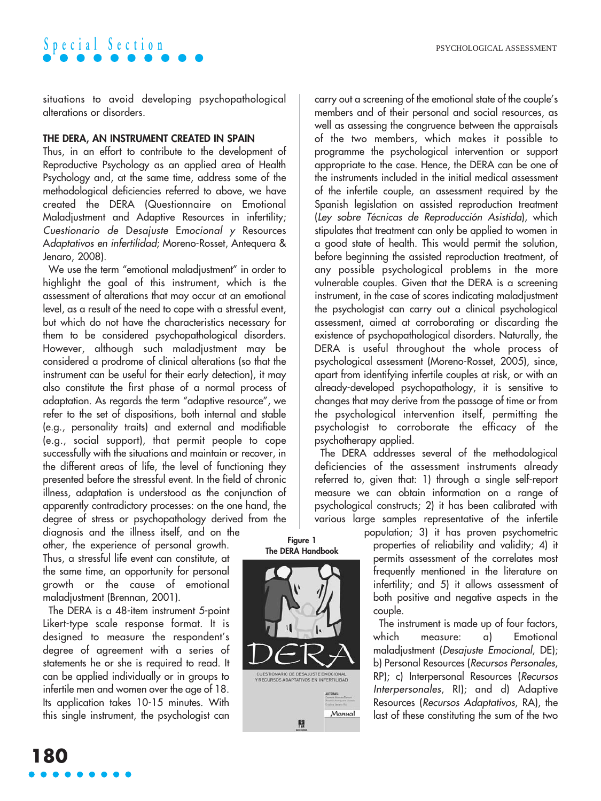situations to avoid developing psychopathological alterations or disorders.

#### **THE DERA, AN INSTRUMENT CREATED IN SPAIN**

Thus, in an effort to contribute to the development of Reproductive Psychology as an applied area of Health Psychology and, at the same time, address some of the methodological deficiencies referred to above, we have created the DERA (Questionnaire on Emotional Maladjustment and Adaptive Resources in infertility; Cuestionario de Desajuste Emocional <sup>y</sup> Resources Adaptativos en infertilidad; Moreno-Rosset, Antequera & Jenaro, 2008).

We use the term "emotional maladjustment" in order to highlight the goal of this instrument, which is the assessment of alterations that may occur at an emotional level, as a result of the need to cope with a stressful event, but which do not have the characteristics necessary for them to be considered psychopathological disorders. However, although such maladjustment may be considered a prodrome of clinical alterations (so that the instrument can be useful for their early detection), it may also constitute the first phase of a normal process of adaptation. As regards the term "adaptive resource", we refer to the set of dispositions, both internal and stable (e.g., personality traits) and external and modifiable (e.g., social support), that permit people to cope successfully with the situations and maintain or recover, in the different areas of life, the level of functioning they presented before the stressful event. In the field of chronic illness, adaptation is understood as the conjunction of apparently contradictory processes: on the one hand, the degree of stress or psychopathology derived from the diagnosis and the illness itself, and on the

other, the experience of personal growth. Thus, a stressful life event can constitute, at the same time, an opportunity for personal growth or the cause of emotional maladjustment (Brennan, 2001).

The DERA is a 48-item instrument 5-point Likert-type scale response format. It is designed to measure the respondent's degree of agreement with a series of statements he or she is required to read. It can be applied individually or in groups to infertile men and women over the age of 18. Its application takes 10-15 minutes. With this single instrument, the psychologist can

carry out a screening of the emotional state of the couple's members and of their personal and social resources, as well as assessing the congruence between the appraisals of the two members, which makes it possible to programme the psychological intervention or support appropriate to the case. Hence, the DERA can be one of the instruments included in the initial medical assessment of the infertile couple, an assessment required by the Spanish legislation on assisted reproduction treatment (Ley sobre Técnicas de Reproducción Asistida), which stipulates that treatment can only be applied to women in a good state of health. This would permit the solution, before beginning the assisted reproduction treatment, of any possible psychological problems in the more vulnerable couples. Given that the DERA is a screening instrument, in the case of scores indicating maladjustment the psychologist can carry out a clinical psychological assessment, aimed at corroborating or discarding the existence of psychopathological disorders. Naturally, the DERA is useful throughout the whole process of psychological assessment (Moreno-Rosset, 2005), since, apart from identifying infertile couples at risk, or with an already-developed psychopathology, it is sensitive to changes that may derive from the passage of time or from the psychological intervention itself, permitting the psychologist to corroborate the efficacy of the psychotherapy applied.

The DERA addresses several of the methodological deficiencies of the assessment instruments already referred to, given that: 1) through a single self-report measure we can obtain information on a range of psychological constructs; 2) it has been calibrated with various large samples representative of the infertile

population; 3) it has proven psychometric properties of reliability and validity; 4) it permits assessment of the correlates most frequently mentioned in the literature on infertility; and 5) it allows assessment of both positive and negative aspects in the couple.

The instrument is made up of four factors, which measure: a) Emotional maladjustment (Desajuste Emocional, DE); b) Personal Resources (Recursos Personales, RP); c) Interpersonal Resources (Recursos Interpersonales, RI); and d) Adaptive Resources (Recursos Adaptativos, RA), the last of these constituting the sum of the two

**Figure 1 The DERA Handbook**

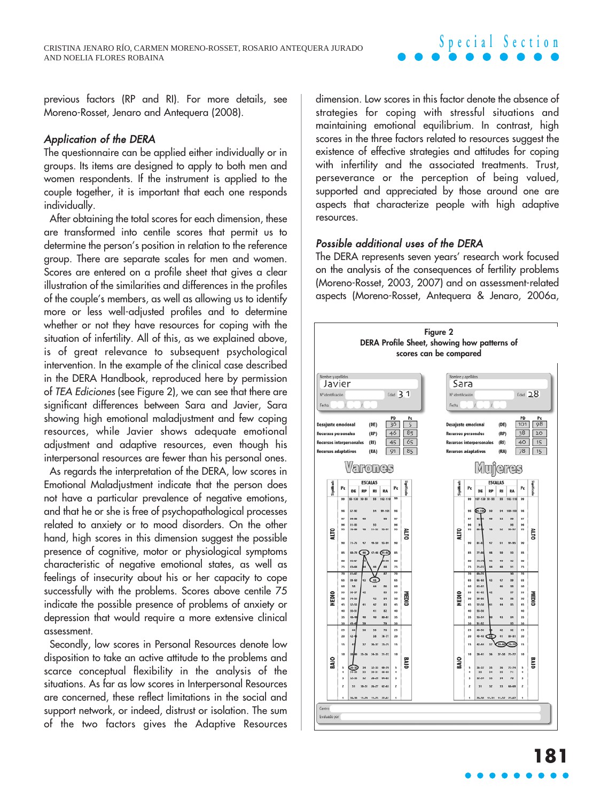previous factors (RP and RI). For more details, see Moreno-Rosset, Jenaro and Antequera (2008).

#### Application of the DERA

The questionnaire can be applied either individually or in groups. Its items are designed to apply to both men and women respondents. If the instrument is applied to the couple together, it is important that each one responds individually.

After obtaining the total scores for each dimension, these are transformed into centile scores that permit us to determine the person's position in relation to the reference group. There are separate scales for men and women. Scores are entered on a profile sheet that gives a clear illustration of the similarities and differences in the profiles of the couple's members, as well as allowing us to identify more or less well-adjusted profiles and to determine whether or not they have resources for coping with the situation of infertility. All of this, as we explained above, is of great relevance to subsequent psychological intervention. In the example of the clinical case described in the DERA Handbook, reproduced here by permission of TEA Ediciones (see Figure 2), we can see that there are significant differences between Sara and Javier, Sara showing high emotional maladjustment and few coping resources, while Javier shows adequate emotional adjustment and adaptive resources, even though his interpersonal resources are fewer than his personal ones.

As regards the interpretation of the DERA, low scores in Emotional Maladjustment indicate that the person does not have a particular prevalence of negative emotions, and that he or she is free of psychopathological processes related to anxiety or to mood disorders. On the other hand, high scores in this dimension suggest the possible presence of cognitive, motor or physiological symptoms characteristic of negative emotional states, as well as feelings of insecurity about his or her capacity to cope successfully with the problems. Scores above centile 75 indicate the possible presence of problems of anxiety or depression that would require a more extensive clinical assessment.

Secondly, low scores in Personal Resources denote low disposition to take an active attitude to the problems and scarce conceptual flexibility in the analysis of the situations. As far as low scores in Interpersonal Resources are concerned, these reflect limitations in the social and support network, or indeed, distrust or isolation. The sum of the two factors gives the Adaptive Resources

dimension. Low scores in this factor denote the absence of strategies for coping with stressful situations and maintaining emotional equilibrium. In contrast, high scores in the three factors related to resources suggest the existence of effective strategies and attitudes for coping with infertility and the associated treatments. Trust, perseverance or the perception of being valued, supported and appreciated by those around one are aspects that characterize people with high adaptive resources.

#### Possible additional uses of the DERA

The DERA represents seven years' research work focused on the analysis of the consequences of fertility problems (Moreno-Rosset, 2003, 2007) and on assessment-related aspects (Moreno-Rosset, Antequera & Jenaro, 2006a,

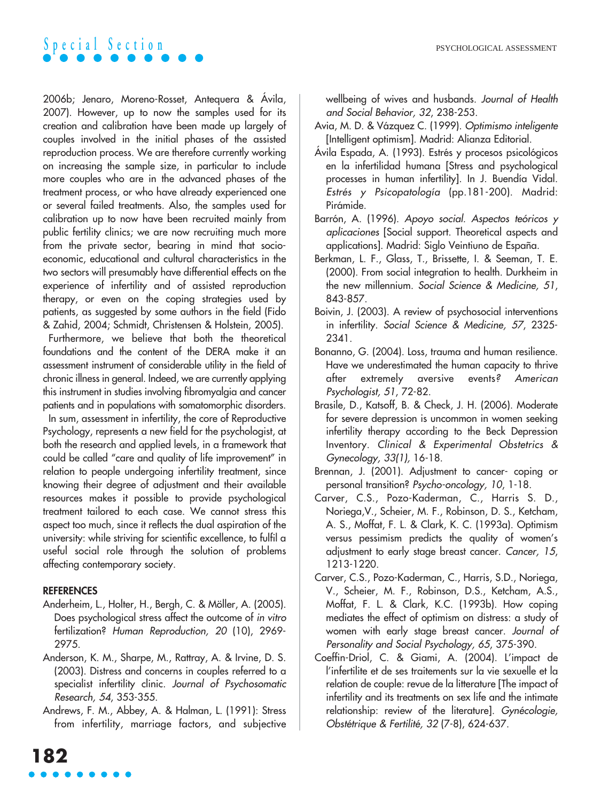

2006b; Jenaro, Moreno-Rosset, Antequera & Ávila, 2007). However, up to now the samples used for its creation and calibration have been made up largely of couples involved in the initial phases of the assisted reproduction process. We are therefore currently working on increasing the sample size, in particular to include more couples who are in the advanced phases of the treatment process, or who have already experienced one or several failed treatments. Also, the samples used for calibration up to now have been recruited mainly from public fertility clinics; we are now recruiting much more from the private sector, bearing in mind that socioeconomic, educational and cultural characteristics in the two sectors will presumably have differential effects on the experience of infertility and of assisted reproduction therapy, or even on the coping strategies used by patients, as suggested by some authors in the field (Fido & Zahid, 2004; Schmidt, Christensen & Holstein, 2005).

Furthermore, we believe that both the theoretical foundations and the content of the DERA make it an assessment instrument of considerable utility in the field of chronic illness in general. Indeed, we are currently applying this instrument in studies involving fibromyalgia and cancer patients and in populations with somatomorphic disorders.

In sum, assessment in infertility, the core of Reproductive Psychology, represents a new field for the psychologist, at both the research and applied levels, in a framework that could be called "care and quality of life improvement" in relation to people undergoing infertility treatment, since knowing their degree of adjustment and their available resources makes it possible to provide psychological treatment tailored to each case. We cannot stress this aspect too much, since it reflects the dual aspiration of the university: while striving for scientific excellence, to fulfil a useful social role through the solution of problems affecting contemporary society.

#### **REFERENCES**

- Anderheim, L., Holter, H., Bergh, C. & Möller, A. (2005). Does psychological stress affect the outcome of in vitro fertilization? Human Reproduction, 20 (10), 2969- 2975.
- Anderson, K. M., Sharpe, M., Rattray, A. & Irvine, D. S. (2003). Distress and concerns in couples referred to a specialist infertility clinic. Journal of Psychosomatic Research, 54, 353-355.
- Andrews, F. M., Abbey, A. & Halman, L. (1991): Stress from infertility, marriage factors, and subjective

wellbeing of wives and husbands. Journal of Health and Social Behavior, 32, 238-253.

- Avia, M. D. & Vázquez C. (1999). Optimismo inteligente [Intelligent optimism]. Madrid: Alianza Editorial.
- Ávila Espada, A. (1993). Estrés y procesos psicológicos en la infertilidad humana [Stress and psychological processes in human infertility]. In J. Buendía Vidal. Estrés y Psicopatología (pp.181-200). Madrid: Pirámide.
- Barrón, A. (1996). Apoyo social. Aspectos teóricos y aplicaciones [Social support. Theoretical aspects and applications]. Madrid: Siglo Veintiuno de España.
- Berkman, L. F., Glass, T., Brissette, I. & Seeman, T. E. (2000). From social integration to health. Durkheim in the new millennium. Social Science & Medicine, 51, 843-857.
- Boivin, J. (2003). A review of psychosocial interventions in infertility. Social Science & Medicine, 57, 2325- 2341.
- Bonanno, G. (2004). Loss, trauma and human resilience. Have we underestimated the human capacity to thrive after extremely aversive events? American Psychologist, 51, 72-82.
- Brasile, D., Katsoff, B. & Check, J. H. (2006). Moderate for severe depression is uncommon in women seeking infertility therapy according to the Beck Depression Inventory. Clinical & Experimental Obstetrics & Gynecology, 33(1), 16-18.
- Brennan, J. (2001). Adjustment to cancer- coping or personal transition? Psycho-oncology, 10, 1-18.
- Carver, C.S., Pozo-Kaderman, C., Harris S. D., Noriega,V., Scheier, M. F., Robinson, D. S., Ketcham, A. S., Moffat, F. L. & Clark, K. C. (1993a). Optimism versus pessimism predicts the quality of women's adjustment to early stage breast cancer. Cancer, 15, 1213-1220.
- Carver, C.S., Pozo-Kaderman, C., Harris, S.D., Noriega, V., Scheier, M. F., Robinson, D.S., Ketcham, A.S., Moffat, F. L. & Clark, K.C. (1993b). How coping mediates the effect of optimism on distress: a study of women with early stage breast cancer. Journal of Personality and Social Psychology, 65, 375-390.
- Coeffin-Driol, C. & Giami, A. (2004). L'impact de l'infertilite et de ses traitements sur la vie sexuelle et la relation de couple: revue de la litterature [The impact of infertility and its treatments on sex life and the intimate relationship: review of the literature]. Gynécologie, Obstétrique & Fertilité, 32 (7-8), 624-637.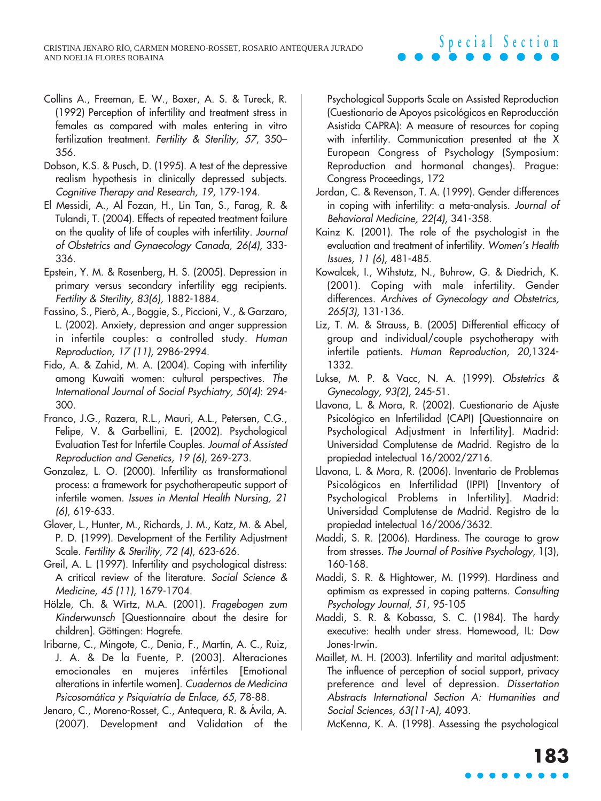- Collins A., Freeman, E. W., Boxer, A. S. & Tureck, R. (1992) Perception of infertility and treatment stress in females as compared with males entering in vitro fertilization treatment. Fertility & Sterility, 57, 350-356.
- Dobson, K.S. & Pusch, D. (1995). A test of the depressive realism hypothesis in clinically depressed subjects. Cognitive Therapy and Research, 19, 179-194.
- El Messidi, A., Al Fozan, H., Lin Tan, S., Farag, R. & Tulandi, T. (2004). Effects of repeated treatment failure on the quality of life of couples with infertility. Journal of Obstetrics and Gynaecology Canada, 26(4), 333- 336.
- Epstein, Y. M. & Rosenberg, H. S. (2005). Depression in primary versus secondary infertility egg recipients. Fertility & Sterility, 83(6), 1882-1884.
- Fassino, S., Pierò, A., Boggie, S., Piccioni, V., & Garzaro, L. (2002). Anxiety, depression and anger suppression in infertile couples: a controlled study. Human Reproduction, 17 (11), 2986-2994.
- Fido, A. & Zahid, M. A. (2004). Coping with infertility among Kuwaiti women: cultural perspectives. The International Journal of Social Psychiatry, 50(4): 294- 300.
- Franco, J.G., Razera, R.L., Mauri, A.L., Petersen, C.G., Felipe, V. & Garbellini, E. (2002). Psychological Evaluation Test for Infertile Couples. Journal of Assisted Reproduction and Genetics, 19 (6), 269-273.
- Gonzalez, L. O. (2000). Infertility as transformational process: a framework for psychotherapeutic support of infertile women. Issues in Mental Health Nursing, 21 (6), 619-633.
- Glover, L., Hunter, M., Richards, J. M., Katz, M. & Abel, P. D. (1999). Development of the Fertility Adjustment Scale. Fertility & Sterility, 72 (4), 623-626.
- Greil, A. L. (1997). Infertility and psychological distress: A critical review of the literature. Social Science & Medicine, 45 (11), 1679-1704.
- Hölzle, Ch. & Wirtz, M.A. (2001). Fragebogen zum Kinderwunsch [Questionnaire about the desire for children]. Göttingen: Hogrefe.
- Iribarne, C., Mingote, C., Denia, F., Martín, A. C., Ruiz, J. A. & De la Fuente, P. (2003). Alteraciones emocionales en mujeres infértiles [Emotional alterations in infertile women]. Cuadernos de Medicina Psicosomática y Psiquiatría de Enlace, 65, 78-88.
- Jenaro, C., Moreno-Rosset, C., Antequera, R. & Ávila, A. (2007). Development and Validation of the

Psychological Supports Scale on Assisted Reproduction (Cuestionario de Apoyos psicológicos en Reproducción Asistida CAPRA): A measure of resources for coping with infertility. Communication presented at the X European Congress of Psychology (Symposium: Reproduction and hormonal changes). Prague: Congress Proceedings, 172

- Jordan, C. & Revenson, T. A. (1999). Gender differences in coping with infertility: a meta-analysis. Journal of Behavioral Medicine, 22(4), 341-358.
- Kainz K. (2001). The role of the psychologist in the evaluation and treatment of infertility. Women's Health Issues, 11 (6), 481-485.
- Kowalcek, I., Wihstutz, N., Buhrow, G. & Diedrich, K. (2001). Coping with male infertility. Gender differences. Archives of Gynecology and Obstetrics, 265(3), 131-136.
- Liz, T. M. & Strauss, B. (2005) Differential efficacy of group and individual/couple psychotherapy with infertile patients. Human Reproduction, 20,1324- 1332.
- Lukse, M. P. & Vacc, N. A. (1999). Obstetrics & Gynecology, 93(2), 245-51.
- Llavona, L. & Mora, R. (2002). Cuestionario de Ajuste Psicológico en Infertilidad (CAPI) [Questionnaire on Psychological Adjustment in Infertility]. Madrid: Universidad Complutense de Madrid. Registro de la propiedad intelectual 16/2002/2716.
- Llavona, L. & Mora, R. (2006). Inventario de Problemas Psicológicos en Infertilidad (IPPI) [Inventory of Psychological Problems in Infertility]. Madrid: Universidad Complutense de Madrid. Registro de la propiedad intelectual 16/2006/3632.
- Maddi, S. R. (2006). Hardiness. The courage to grow from stresses. The Journal of Positive Psychology, 1(3), 160-168.
- Maddi, S. R. & Hightower, M. (1999). Hardiness and optimism as expressed in coping patterns. Consulting Psychology Journal, 51, 95-105
- Maddi, S. R. & Kobassa, S. C. (1984). The hardy executive: health under stress. Homewood, IL: Dow Jones-Irwin.
- Maillet, M. H. (2003). Infertility and marital adjustment: The influence of perception of social support, privacy preference and level of depression. Dissertation Abstracts International Section A: Humanities and Social Sciences, 63(11-A), 4093.

McKenna, K. A. (1998). Assessing the psychological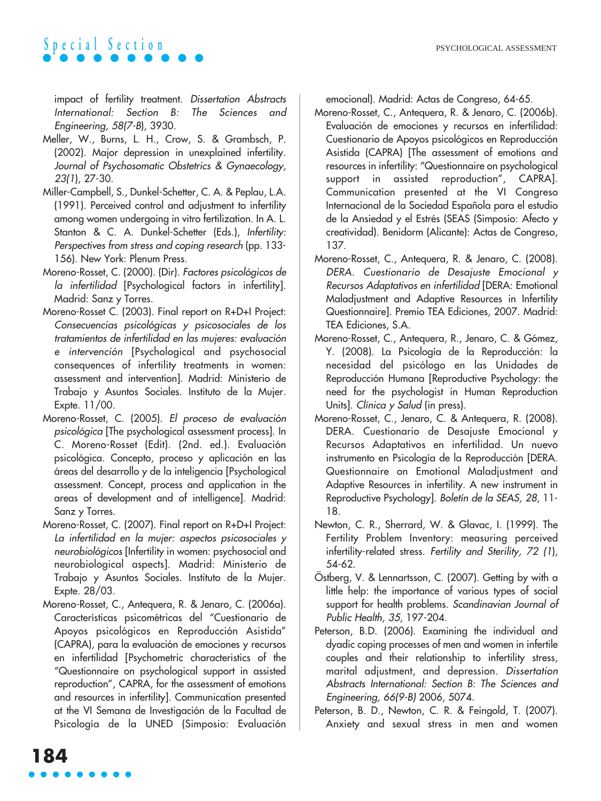impact of fertility treatment. Dissertation Abstracts International: Section B: The Sciences and Engineering, 58(7-B), 3930.

- Meller, W., Burns, L. H., Crow, S. & Grambsch, P. (2002). Major depression in unexplained infertility. Journal of Psychosomatic Obstetrics & Gynaecology, 23(1), 27-30.
- Miller-Campbell, S., Dunkel-Schetter, C. A. & Peplau, L.A. (1991). Perceived control and adjustment to infertility among women undergoing in vitro fertilization. In A. L. Stanton & C. A. Dunkel-Schetter (Eds.), Infertility: Perspectives from stress and coping research (pp. 133- 156). New York: Plenum Press.
- Moreno-Rosset, C. (2000). (Dir). Factores psicológicos de la infertilidad [Psychological factors in infertility]. Madrid: Sanz y Torres.
- Moreno-Rosset C. (2003). Final report on R+D+I Project: Consecuencias psicológicas y psicosociales de los tratamientos de infertilidad en las mujeres: evaluación e intervención [Psychological and psychosocial consequences of infertility treatments in women: assessment and intervention]. Madrid: Ministerio de Trabajo y Asuntos Sociales. Instituto de la Mujer. Expte. 11/00.
- Moreno-Rosset, C. (2005). El proceso de evaluación psicológica [The psychological assessment process]. In C. Moreno-Rosset (Edit). (2nd. ed.). Evaluación psicológica. Concepto, proceso y aplicación en las áreas del desarrollo y de la inteligencia [Psychological assessment. Concept, process and application in the areas of development and of intelligence]. Madrid: Sanz y Torres.
- Moreno-Rosset, C. (2007). Final report on R+D+I Project: La infertilidad en la mujer: aspectos psicosociales y neurobiológicos [Infertility in women: psychosocial and neurobiological aspects]. Madrid: Ministerio de Trabajo y Asuntos Sociales. Instituto de la Mujer. Expte. 28/03.
- Moreno-Rosset, C., Antequera, R. & Jenaro, C. (2006a). Características psicométricas del "Cuestionario de Apoyos psicológicos en Reproducción Asistida" (CAPRA), para la evaluación de emociones y recursos en infertilidad [Psychometric characteristics of the "Questionnaire on psychological support in assisted reproduction", CAPRA, for the assessment of emotions and resources in infertility]. Communication presented at the VI Semana de Investigación de la Facultad de Psicología de la UNED (Simposio: Evaluación

emocional). Madrid: Actas de Congreso, 64-65.

- Moreno-Rosset, C., Antequera, R. & Jenaro, C. (2006b). Evaluación de emociones y recursos en infertilidad: Cuestionario de Apoyos psicológicos en Reproducción Asistida (CAPRA) [The assessment of emotions and resources in infertility: "Questionnaire on psychological support in assisted reproduction", CAPRA]. Communication presented at the VI Congreso Internacional de la Sociedad Española para el estudio de la Ansiedad y el Estrés (SEAS (Simposio: Afecto y creatividad). Benidorm (Alicante): Actas de Congreso, 137.
- Moreno-Rosset, C., Antequera, R. & Jenaro, C. (2008). DERA. Cuestionario de Desajuste Emocional y Recursos Adaptativos en infertilidad [DERA: Emotional Maladjustment and Adaptive Resources in Infertility Questionnaire]. Premio TEA Ediciones, 2007. Madrid: TEA Ediciones, S.A.
- Moreno-Rosset, C., Antequera, R., Jenaro, C. & Gómez, Y. (2008). La Psicología de la Reproducción: la necesidad del psicólogo en las Unidades de Reproducción Humana [Reproductive Psychology: the need for the psychologist in Human Reproduction Units]. Clínica y Salud (in press).
- Moreno-Rosset, C., Jenaro, C. & Antequera, R. (2008). DERA. Cuestionario de Desajuste Emocional y Recursos Adaptativos en infertilidad. Un nuevo instrumento en Psicología de la Reproducción [DERA. Questionnaire on Emotional Maladjustment and Adaptive Resources in infertility. A new instrument in Reproductive Psychology]. Boletín de la SEAS, 28, 11- 18.
- Newton, C. R., Sherrard, W. & Glavac, I. (1999). The Fertility Problem Inventory: measuring perceived infertility-related stress. Fertility and Sterility, 72 (1), 54-62.
- Östberg, V. & Lennartsson, C. (2007). Getting by with a little help: the importance of various types of social support for health problems. Scandinavian Journal of Public Health, 35, 197-204.
- Peterson, B.D. (2006). Examining the individual and dyadic coping processes of men and women in infertile couples and their relationship to infertility stress, marital adjustment, and depression. Dissertation Abstracts International: Section B: The Sciences and Engineering, 66(9-B) 2006, 5074.
- Peterson, B. D., Newton, C. R. & Feingold, T. (2007). Anxiety and sexual stress in men and women